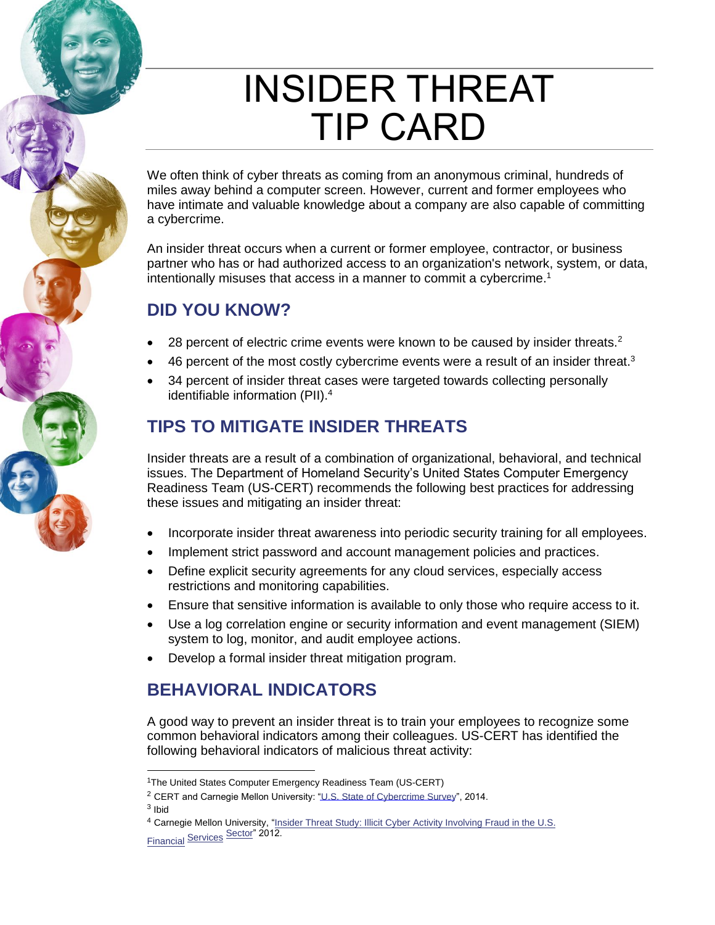# INSIDER THREAT TIP CARD

We often think of cyber threats as coming from an anonymous criminal, hundreds of miles away behind a computer screen. However, current and former employees who have intimate and valuable knowledge about a company are also capable of committing a cybercrime.

An insider threat occurs when a current or former employee, contractor, or business partner who has or had authorized access to an organization's network, system, or data, intentionally misuses that access in a manner to commit a cybercrime.<sup>1</sup>

## **DID YOU KNOW?**

- 28 percent of electric crime events were known to be caused by insider threats. $2$
- 46 percent of the most costly cybercrime events were a result of an insider threat. $3$
- 34 percent of insider threat cases were targeted towards collecting personally identifiable information (PII).<sup>4</sup>

## **TIPS TO MITIGATE INSIDER THREATS**

Insider threats are a result of a combination of organizational, behavioral, and technical issues. The Department of Homeland Security's United States Computer Emergency Readiness Team (US-CERT) recommends the following best practices for addressing these issues and mitigating an insider threat:

- Incorporate insider threat awareness into periodic security training for all employees.
- Implement strict password and account management policies and practices.
- Define explicit security agreements for any cloud services, especially access restrictions and monitoring capabilities.
- Ensure that sensitive information is available to only those who require access to it.
- Use a log correlation engine or security information and event management (SIEM) system to log, monitor, and audit employee actions.
- Develop a formal insider threat mitigation program.

## **BEHAVIORAL INDICATORS**

A good way to prevent an insider threat is to train your employees to recognize some common behavioral indicators among their colleagues. US-CERT has identified the following behavioral indicators of malicious threat activity:

<sup>&</sup>lt;sup>1</sup>The United States Computer Emergency Readiness Team (US-CERT)

<sup>&</sup>lt;sup>2</sup> CERT and Carnegie Mellon University: ["U.S. State of Cybercrime Survey",](http://resources.sei.cmu.edu/asset_files/Presentation/2014_017_001_298322.pdf) 2014. <sup>3</sup> Ibid

<sup>&</sup>lt;sup>4</sup> [Carne](http://resources.sei.cmu.edu/asset_files/SpecialReport/2012_003_001_28137.pdf)gie Mellon University, "Insider Threat Study: Illicit Cyber Activity Involving Fraud in the U.S. Financial Services Sector" 2012.